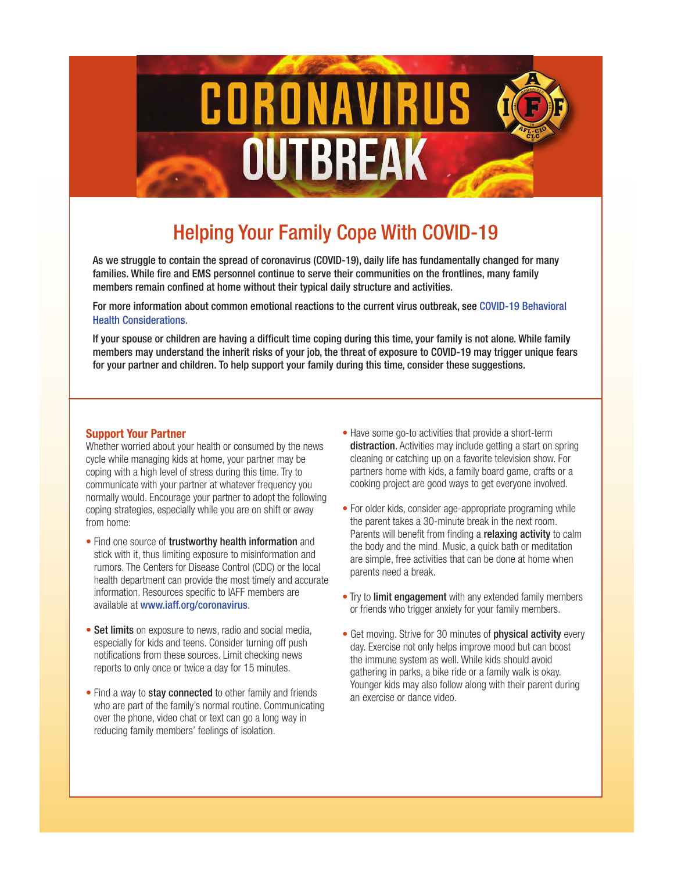

# Helping Your Family Cope With COVID-19

As we struggle to contain the spread of coronavirus (COVID-19), daily life has fundamentally changed for many families. While fire and EMS personnel continue to serve their communities on the frontlines, many family members remain confined at home without their typical daily structure and activities.

For more information about common emotional reactions to the current virus outbreak, see [COVID-19 Behavioral](https://www.iaff.org/wp-content/uploads/Coronavirus_Flyer1_v2.pdf) [Health Considerations.](https://www.iaff.org/wp-content/uploads/Coronavirus_Flyer1_v2.pdf)

If your spouse or children are having a difficult time coping during this time, your family is not alone. While family members may understand the inherit risks of your job, the threat of exposure to COVID-19 may trigger unique fears for your partner and children. To help support your family during this time, consider these suggestions.

#### **Support Your Partner**

Whether worried about your health or consumed by the news cycle while managing kids at home, your partner may be coping with a high level of stress during this time. Try to communicate with your partner at whatever frequency you normally would. Encourage your partner to adopt the following coping strategies, especially while you are on shift or away from home:

- rumors. The Centers for Disease Control (CDC) or the local are simple, nee acuviues that ca health department can provide the most timely and accurate parents need a break. information. Resources specific to IAFF members are **Formation.** Try to limit engagement with any ex-• Find one source of trustworthy health information and stick with it, thus limiting exposure to misinformation and available at [www.iaff.org/coronavirus](https://www.iaff.org/coronavirus/).
- Set limits on exposure to news, radio and social media, experiment on exposure to news, radio and social media, especially for kids and teens. Consider turning off push notifications from these sources. Limit checking news reports to only once or twice a day for 15 minutes.
- over the phone, video chat or text can go a long way in reducing family members' feelings of isolation. • Find a way to stay connected to other family and friends who are part of the family's normal routine. Communicating
- Have some go-to activities that provide a short-term distraction. Activities may include getting a start on spring cleaning or catching up on a favorite television show. For partners home with kids, a family board game, crafts or a cooking project are good ways to get everyone involved.
- $\frac{1}{2}$  the parent takes a 30-minute break in the next room. **Parents will benefit from finding a relaxing activity** to calm • For older kids, consider age-appropriate programing while the body and the mind. Music, a quick bath or meditation are simple, free activities that can be done at home when parents need a break.
	- Try to limit engagement with any extended family members or friends who trigger anxiety for your family members.
- for 15 minutes. The same of the ring in parks, a bike ride or a family walk is okay. Younger kids may also follow along with their parent during • Get moving. Strive for 30 minutes of **physical activity** every day. Exercise not only helps improve mood but can boost the immune system as well. While kids should avoid an exercise or dance video.